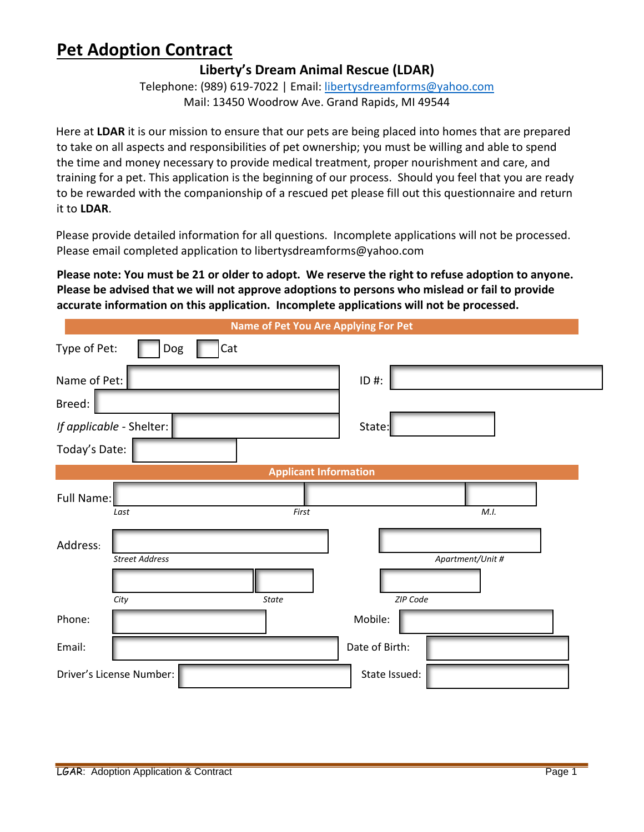### **Liberty's Dream Animal Rescue (LDAR)**

Telephone: (989) 619-7022 | Email[: libertysdreamforms@yahoo.com](mailto:libertysdreamforms@yahoo.com) Mail: 13450 Woodrow Ave. Grand Rapids, MI 49544

Here at **LDAR** it is our mission to ensure that our pets are being placed into homes that are prepared to take on all aspects and responsibilities of pet ownership; you must be willing and able to spend the time and money necessary to provide medical treatment, proper nourishment and care, and training for a pet. This application is the beginning of our process. Should you feel that you are ready to be rewarded with the companionship of a rescued pet please fill out this questionnaire and return it to **LDAR**.

Please provide detailed information for all questions. Incomplete applications will not be processed. Please email completed application to libertysdreamforms@yahoo.com

**Please note: You must be 21 or older to adopt. We reserve the right to refuse adoption to anyone. Please be advised that we will not approve adoptions to persons who mislead or fail to provide accurate information on this application. Incomplete applications will not be processed.** 

| Name of Pet You Are Applying For Pet |                  |  |  |  |
|--------------------------------------|------------------|--|--|--|
| Type of Pet:<br>Cat<br>Dog           |                  |  |  |  |
| Name of Pet:                         | $ID$ #:          |  |  |  |
| Breed:                               |                  |  |  |  |
| If applicable - Shelter:             | State:           |  |  |  |
| Today's Date:                        |                  |  |  |  |
| <b>Applicant Information</b>         |                  |  |  |  |
| Full Name:<br>First<br>Last          | M.I.             |  |  |  |
| Address:<br><b>Street Address</b>    | Apartment/Unit # |  |  |  |
| City<br><b>State</b>                 | ZIP Code         |  |  |  |
| Phone:                               | Mobile:          |  |  |  |
| Email:                               | Date of Birth:   |  |  |  |
| Driver's License Number:             | State Issued:    |  |  |  |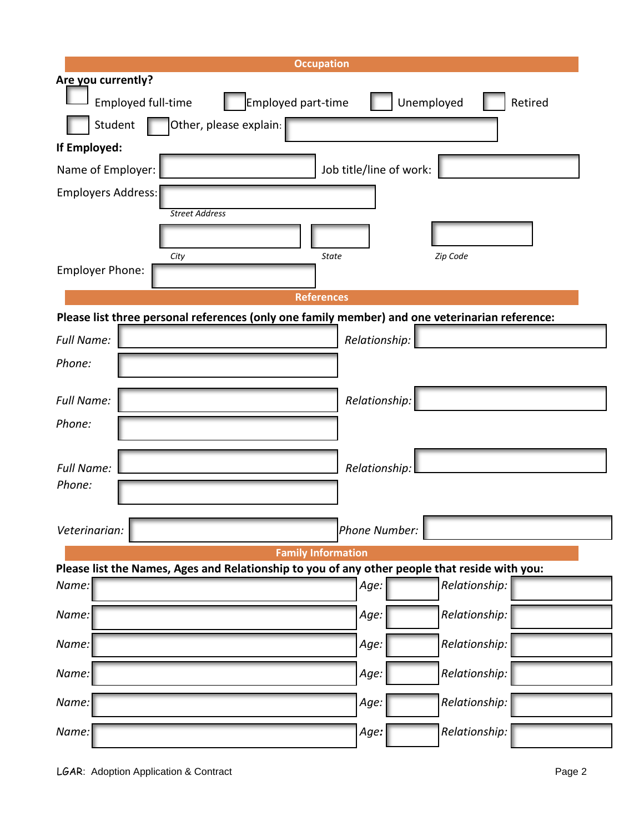| <b>Occupation</b>                                                                              |                         |  |  |  |
|------------------------------------------------------------------------------------------------|-------------------------|--|--|--|
| Are you currently?                                                                             |                         |  |  |  |
| Employed part-time<br>Employed full-time                                                       | Unemployed<br>Retired   |  |  |  |
| Student<br>Other, please explain:                                                              |                         |  |  |  |
| If Employed:                                                                                   |                         |  |  |  |
| Name of Employer:                                                                              | Job title/line of work: |  |  |  |
| <b>Employers Address:</b>                                                                      |                         |  |  |  |
| <b>Street Address</b>                                                                          |                         |  |  |  |
|                                                                                                |                         |  |  |  |
| City<br><b>State</b><br><b>Employer Phone:</b>                                                 | Zip Code                |  |  |  |
|                                                                                                |                         |  |  |  |
| <b>References</b>                                                                              |                         |  |  |  |
| Please list three personal references (only one family member) and one veterinarian reference: |                         |  |  |  |
| <b>Full Name:</b>                                                                              | Relationship:           |  |  |  |
| Phone:                                                                                         |                         |  |  |  |
| <b>Full Name:</b>                                                                              | Relationship:           |  |  |  |
| Phone:                                                                                         |                         |  |  |  |
| <b>Full Name:</b>                                                                              | Relationship:           |  |  |  |
| Phone:                                                                                         |                         |  |  |  |
|                                                                                                |                         |  |  |  |
| Veterinarian:                                                                                  | Phone Number:           |  |  |  |
| <b>Family Information</b>                                                                      |                         |  |  |  |
| Please list the Names, Ages and Relationship to you of any other people that reside with you:  |                         |  |  |  |
| Name:                                                                                          | Relationship:<br>Age:   |  |  |  |
| Name:                                                                                          | Relationship:<br>Age:   |  |  |  |
| Name:                                                                                          | Relationship:<br>Age:   |  |  |  |
| Name:                                                                                          | Relationship:<br>Age:   |  |  |  |
| Name:                                                                                          | Relationship:<br>Age:   |  |  |  |
| Name:                                                                                          | Relationship:<br>Age:   |  |  |  |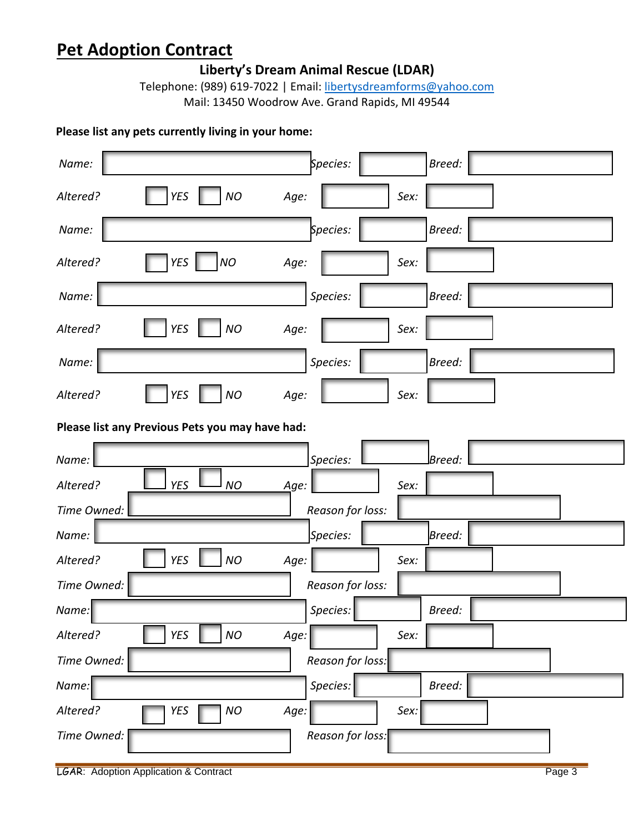**Liberty's Dream Animal Rescue (LDAR)**

Telephone: (989) 619-7022 | Email[: libertysdreamforms@yahoo.com](mailto:libertysdreamforms@yahoo.com) Mail: 13450 Woodrow Ave. Grand Rapids, MI 49544

### **Please list any pets currently living in your home:**

| Name:                                           | Species:         | Breed: |  |
|-------------------------------------------------|------------------|--------|--|
| <b>YES</b><br><b>NO</b><br>Altered?             | Age:<br>Sex:     |        |  |
| Name:                                           | Species:         | Breed: |  |
| <b>NO</b><br><b>YES</b><br>Altered?             | Age:<br>Sex:     |        |  |
| Name:                                           | Species:         | Breed: |  |
| <b>YES</b><br>Altered?<br>NO                    | Age:<br>Sex:     |        |  |
| Name:                                           | Species:         | Breed: |  |
| <b>NO</b><br><b>YES</b><br>Altered?             | Age:<br>Sex:     |        |  |
| Please list any Previous Pets you may have had: |                  |        |  |
| Name:                                           | Species:         | Breed: |  |
| <b>NO</b><br>Altered?<br><b>YES</b>             | Age:<br>Sex:     |        |  |
| Time Owned:                                     | Reason for loss: |        |  |
| Name:                                           | Species:         | Breed: |  |
| <b>YES</b><br><b>NO</b><br>Altered?             | Age:<br>Sex:     |        |  |
| Time Owned:<br>Reason for loss:                 |                  |        |  |
| Name:                                           | Species:         | Breed: |  |
| <b>YES</b><br>NO<br>Altered?                    | Age:<br>Sex:     |        |  |
| Time Owned:<br>Reason for loss:                 |                  |        |  |
| Name:                                           | Species:         | Breed: |  |
| NO<br>Altered?<br>YES                           |                  |        |  |
|                                                 | Age:<br>Sex:     |        |  |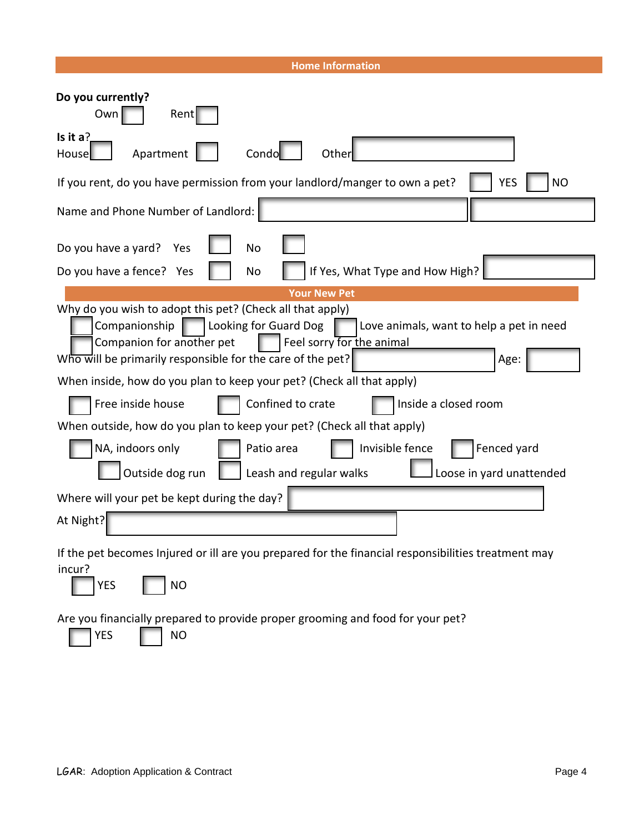#### **Home Information**

| Do you currently?<br>Own<br>Rent                                                                                                                                                                                                                                                |  |  |
|---------------------------------------------------------------------------------------------------------------------------------------------------------------------------------------------------------------------------------------------------------------------------------|--|--|
| Is it $a$ ?<br>Condo<br>Apartment<br>Other<br>House                                                                                                                                                                                                                             |  |  |
| If you rent, do you have permission from your landlord/manger to own a pet?<br><b>YES</b><br><b>NO</b>                                                                                                                                                                          |  |  |
| Name and Phone Number of Landlord:                                                                                                                                                                                                                                              |  |  |
| Do you have a yard?<br><b>No</b><br>Yes                                                                                                                                                                                                                                         |  |  |
| If Yes, What Type and How High?<br>Do you have a fence? Yes<br>No                                                                                                                                                                                                               |  |  |
| <b>Your New Pet</b>                                                                                                                                                                                                                                                             |  |  |
| Why do you wish to adopt this pet? (Check all that apply)<br>Companionship<br>Looking for Guard Dog<br>Love animals, want to help a pet in need<br>Companion for another pet<br>Feel sorry for the animal<br>Who will be primarily responsible for the care of the pet?<br>Age: |  |  |
| When inside, how do you plan to keep your pet? (Check all that apply)                                                                                                                                                                                                           |  |  |
| Free inside house<br>Confined to crate<br>Inside a closed room                                                                                                                                                                                                                  |  |  |
| When outside, how do you plan to keep your pet? (Check all that apply)                                                                                                                                                                                                          |  |  |
| NA, indoors only<br>Invisible fence<br>Fenced yard<br>Patio area                                                                                                                                                                                                                |  |  |
| Outside dog run<br>Leash and regular walks<br>Loose in yard unattended                                                                                                                                                                                                          |  |  |
| Where will your pet be kept during the day?                                                                                                                                                                                                                                     |  |  |
| At Night?                                                                                                                                                                                                                                                                       |  |  |
| If the pet becomes Injured or ill are you prepared for the financial responsibilities treatment may                                                                                                                                                                             |  |  |
| incur?<br><b>YES</b><br><b>NO</b>                                                                                                                                                                                                                                               |  |  |
| Are you financially prepared to provide proper grooming and food for your pet?                                                                                                                                                                                                  |  |  |

 $YES$  NO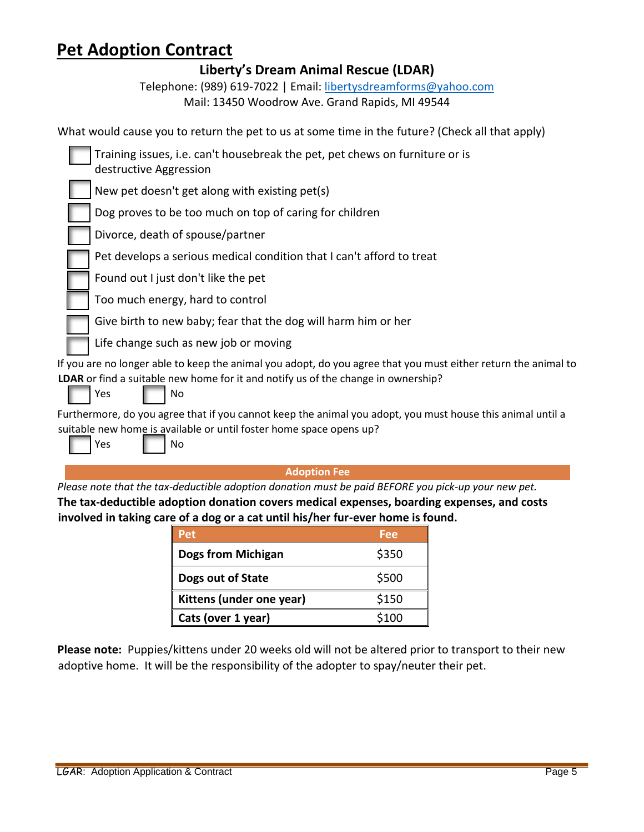**Liberty's Dream Animal Rescue (LDAR)**

Telephone: (989) 619-7022 | Email[: libertysdreamforms@yahoo.com](mailto:libertysdreamforms@yahoo.com) Mail: 13450 Woodrow Ave. Grand Rapids, MI 49544

| What would cause you to return the pet to us at some time in the future? (Check all that apply)                                                                                                                  |
|------------------------------------------------------------------------------------------------------------------------------------------------------------------------------------------------------------------|
| Training issues, i.e. can't housebreak the pet, pet chews on furniture or is<br>destructive Aggression                                                                                                           |
| New pet doesn't get along with existing pet(s)                                                                                                                                                                   |
| Dog proves to be too much on top of caring for children                                                                                                                                                          |
| Divorce, death of spouse/partner                                                                                                                                                                                 |
| Pet develops a serious medical condition that I can't afford to treat                                                                                                                                            |
| Found out I just don't like the pet                                                                                                                                                                              |
| Too much energy, hard to control                                                                                                                                                                                 |
| Give birth to new baby; fear that the dog will harm him or her                                                                                                                                                   |
| Life change such as new job or moving                                                                                                                                                                            |
| If you are no longer able to keep the animal you adopt, do you agree that you must either return the animal to<br>LDAR or find a suitable new home for it and notify us of the change in ownership?<br>Yes<br>No |
| Furthermore, do you agree that if you cannot keep the animal you adopt, you must house this animal until a                                                                                                       |
| suitable new home is available or until foster home space opens up?<br>Yes<br>No                                                                                                                                 |
| <b>Adoption Fee</b>                                                                                                                                                                                              |
| Please note that the tax-deductible adoption donation must be paid BEEORE you pick-up your new pet                                                                                                               |

*Please note that the tax-deductible adoption donation must be paid BEFORE you pick-up your new pet.* **The tax-deductible adoption donation covers medical expenses, boarding expenses, and costs involved in taking care of a dog or a cat until his/her fur-ever home is found.**

| Pet                       | Fee   |
|---------------------------|-------|
| <b>Dogs from Michigan</b> | \$350 |
| Dogs out of State         | \$500 |
| Kittens (under one year)  | \$150 |
| Cats (over 1 year)        | \$100 |

**Please note:** Puppies/kittens under 20 weeks old will not be altered prior to transport to their new adoptive home. It will be the responsibility of the adopter to spay/neuter their pet.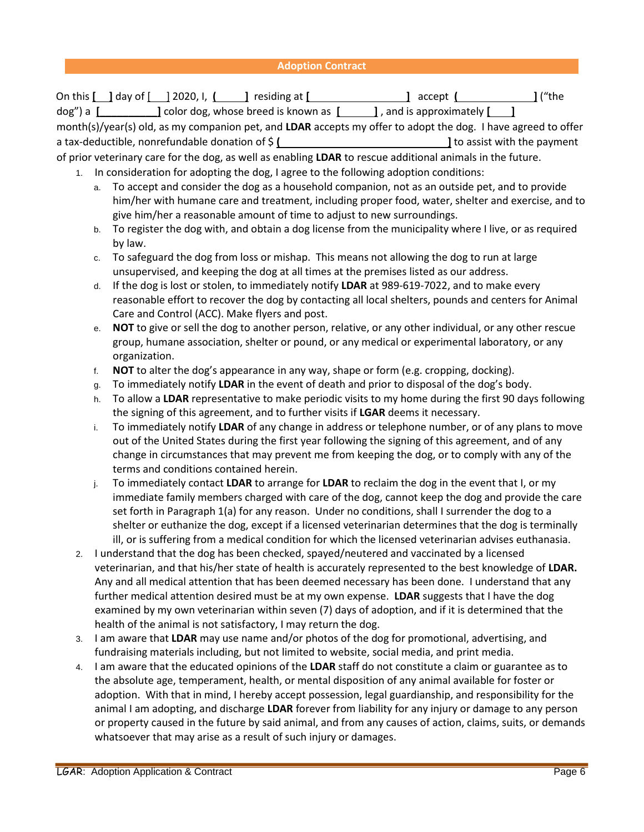### **Adoption Contract**

|    | On this $\Box$ day of $\Box$ 2020, I, $\Box$ residing at $\Box$ accept $\Box$ accept $\Box$ ("the<br>dog") a $[$ [[11] $]$ color dog, whose breed is known as $[$ [12] $]$ , and is approximately [13] $]$<br>month(s)/year(s) old, as my companion pet, and LDAR accepts my offer to adopt the dog. I have agreed to offer |  |  |
|----|-----------------------------------------------------------------------------------------------------------------------------------------------------------------------------------------------------------------------------------------------------------------------------------------------------------------------------|--|--|
|    | of prior veterinary care for the dog, as well as enabling LDAR to rescue additional animals in the future.                                                                                                                                                                                                                  |  |  |
| 1. | In consideration for adopting the dog, I agree to the following adoption conditions:                                                                                                                                                                                                                                        |  |  |
|    | To accept and consider the dog as a household companion, not as an outside pet, and to provide<br>a.                                                                                                                                                                                                                        |  |  |
|    | him/her with humane care and treatment, including proper food, water, shelter and exercise, and to<br>give him/her a reasonable amount of time to adjust to new surroundings.                                                                                                                                               |  |  |
|    | To register the dog with, and obtain a dog license from the municipality where I live, or as required<br>b.<br>by law.                                                                                                                                                                                                      |  |  |
|    | To safeguard the dog from loss or mishap. This means not allowing the dog to run at large<br>c.                                                                                                                                                                                                                             |  |  |
|    | unsupervised, and keeping the dog at all times at the premises listed as our address.                                                                                                                                                                                                                                       |  |  |
|    | If the dog is lost or stolen, to immediately notify LDAR at 989-619-7022, and to make every<br>d.                                                                                                                                                                                                                           |  |  |
|    | reasonable effort to recover the dog by contacting all local shelters, pounds and centers for Animal<br>Care and Control (ACC). Make flyers and post.                                                                                                                                                                       |  |  |
|    | NOT to give or sell the dog to another person, relative, or any other individual, or any other rescue<br>е.                                                                                                                                                                                                                 |  |  |
|    | group, humane association, shelter or pound, or any medical or experimental laboratory, or any                                                                                                                                                                                                                              |  |  |
|    | organization.                                                                                                                                                                                                                                                                                                               |  |  |
|    | NOT to alter the dog's appearance in any way, shape or form (e.g. cropping, docking).<br>f.                                                                                                                                                                                                                                 |  |  |
|    | To immediately notify LDAR in the event of death and prior to disposal of the dog's body.<br>g.                                                                                                                                                                                                                             |  |  |
|    | To allow a LDAR representative to make periodic visits to my home during the first 90 days following<br>h.                                                                                                                                                                                                                  |  |  |
|    | the signing of this agreement, and to further visits if LGAR deems it necessary.                                                                                                                                                                                                                                            |  |  |
|    | To immediately notify LDAR of any change in address or telephone number, or of any plans to move<br>i.<br>out of the United States during the first year following the signing of this agreement, and of any                                                                                                                |  |  |
|    | change in circumstances that may prevent me from keeping the dog, or to comply with any of the                                                                                                                                                                                                                              |  |  |
|    | terms and conditions contained herein.                                                                                                                                                                                                                                                                                      |  |  |
|    | To immediately contact LDAR to arrange for LDAR to reclaim the dog in the event that I, or my<br>j.                                                                                                                                                                                                                         |  |  |
|    | immediate family members charged with care of the dog, cannot keep the dog and provide the care                                                                                                                                                                                                                             |  |  |
|    | set forth in Paragraph 1(a) for any reason. Under no conditions, shall I surrender the dog to a                                                                                                                                                                                                                             |  |  |
|    | shelter or euthanize the dog, except if a licensed veterinarian determines that the dog is terminally                                                                                                                                                                                                                       |  |  |
|    | ill, or is suffering from a medical condition for which the licensed veterinarian advises euthanasia.                                                                                                                                                                                                                       |  |  |
|    | I understand that the dog has been checked, spayed/neutered and vaccinated by a licensed                                                                                                                                                                                                                                    |  |  |
|    | veterinarian, and that his/her state of health is accurately represented to the best knowledge of LDAR.                                                                                                                                                                                                                     |  |  |
|    | Any and all medical attention that has been deemed necessary has been done. I understand that any                                                                                                                                                                                                                           |  |  |
|    | further medical attention desired must be at my own expense. LDAR suggests that I have the dog                                                                                                                                                                                                                              |  |  |
|    | examined by my own veterinarian within seven (7) days of adoption, and if it is determined that the                                                                                                                                                                                                                         |  |  |
|    | health of the animal is not satisfactory, I may return the dog.                                                                                                                                                                                                                                                             |  |  |
| 3. | I am aware that LDAR may use name and/or photos of the dog for promotional, advertising, and                                                                                                                                                                                                                                |  |  |
|    | fundraising materials including, but not limited to website, social media, and print media.                                                                                                                                                                                                                                 |  |  |
| 4. | I am aware that the educated opinions of the LDAR staff do not constitute a claim or guarantee as to                                                                                                                                                                                                                        |  |  |
|    | the absolute age, temperament, health, or mental disposition of any animal available for foster or                                                                                                                                                                                                                          |  |  |
|    | adoption. With that in mind, I hereby accept possession, legal guardianship, and responsibility for the                                                                                                                                                                                                                     |  |  |
|    | animal I am adopting, and discharge LDAR forever from liability for any injury or damage to any person                                                                                                                                                                                                                      |  |  |
|    | or property caused in the future by said animal, and from any causes of action, claims, suits, or demands                                                                                                                                                                                                                   |  |  |
|    | whatsoever that may arise as a result of such injury or damages.                                                                                                                                                                                                                                                            |  |  |